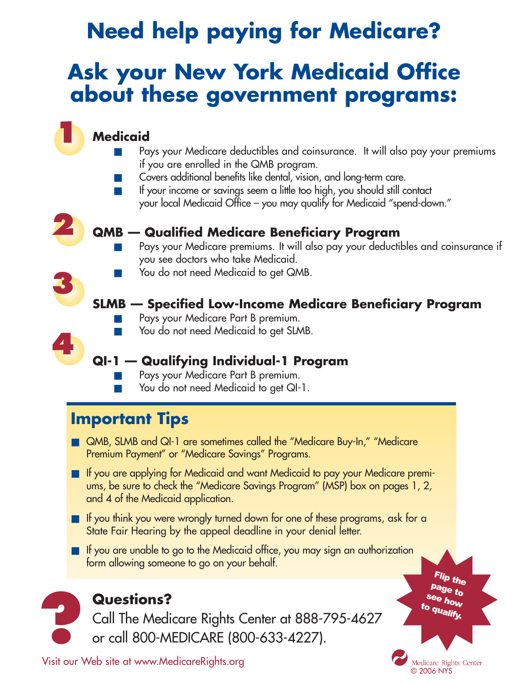# **Need help paying for Medicare?**

## **Ask your New York Medicaid Office about these government programs:**

### **Medicaid**

- Pays your Medicare deductibles and coinsurance. It will also pay your premiums if you are enrolled in the QMB program.
- Covers additional benefits like dental, vision, and long-term care.
- If your income or savings seem a little too high, you should still contact your local Medicaid Office – you may qualify for Medicaid "spend-down."



**3**

**4**

**1**

#### **QMB — Qualified Medicare Beneficiary Program**

- Pays your Medicare premiums. It will also pay your deductibles and coinsurance if you see doctors who take Medicaid.
- You do not need Medicaid to get QMB.

### **SLMB — Specified Low-Income Medicare Beneficiary Program**

- Pays your Medicare Part B premium.
- You do not need Medicaid to get SLMB.

### **QI-1 — Qualifying Individual-1 Program**

- Pays your Medicare Part B premium.
- You do not need Medicaid to get QI-1.

### **Important Tips**

- QMB, SLMB and QI-1 are sometimes called the "Medicare Buy-In," "Medicare Premium Payment" or "Medicare Savings" Programs.
- If you are applying for Medicaid and want Medicaid to pay your Medicare premiums, be sure to check the "Medicare Savings Program" (MSP) box on pages 1, 2, and 4 of the Medicaid application.
- If you think you were wrongly turned down for one of these programs, ask for a State Fair Hearing by the appeal deadline in your denial letter.
- If you are unable to go to the Medicaid office, you may sign an authorization form allowing someone to go on your behalf.



Flip the page to see how to qualify.

Medicare Rights Center © 2006 NYS

Visit our Web site at www.MedicareRights.org